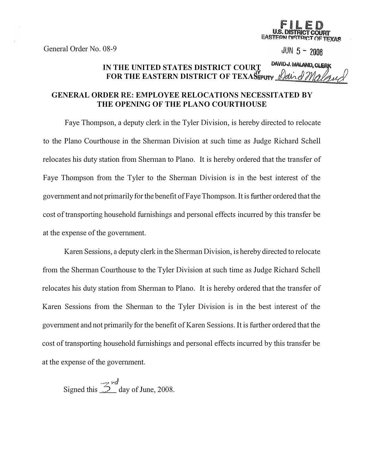General Order No. 08-9

FILED U.S. DISTRICT COURT<br>EASTERN DISTRICT OF TEXAS

 $JUN 5 - 2008$ 

IN THE UNITED STATES DISTRICT COURT DAVIDJ MALAND, CLERK FOR THE EASTERN DISTRICT OF TEXASEPUTY

## GENERAL ORDER RE: EMPLOYEE RELOCATIONS NECESSITATED BY THE OPENING OF THE PLANO COURTHOUSE

Faye Thompson, a deputy clerk in the Tyler Division, is hereby directed to relocate to the Plano Courthouse in the Shennan Division at such time as Judge Richard Schell relocates his duty station from Sherman to Plano. It is hereby ordered that the transfer of Faye Thompson from the Tyler to the Shennan Division is in the best interest of the government and not primarily for the benefit of Faye Thompson. It is further ordered that the cost of transporting household furnishings and personal effects incurred by this transfer be at the expense of the government.

Karen Sessions, a deputy clerk in the Shennan Division, is hereby directed to relocate from the Sherman Courthouse to the Tyler Division at such time as Judge Richard Schell relocates his duty station from Sherman to Plano. It is hereby ordered that the transfer of Karen Sessions from the Sherman to the Tyler Division is in the best interest of the government and not primarily for the benefit of Karen Sessions. It is further ordered that the cost of transporting household furnishings and personal effects incurred by this transfer be at the expense of the government.

Signed this  $\mathcal{Z}^{\mathcal{A}}$  day of June, 2008.